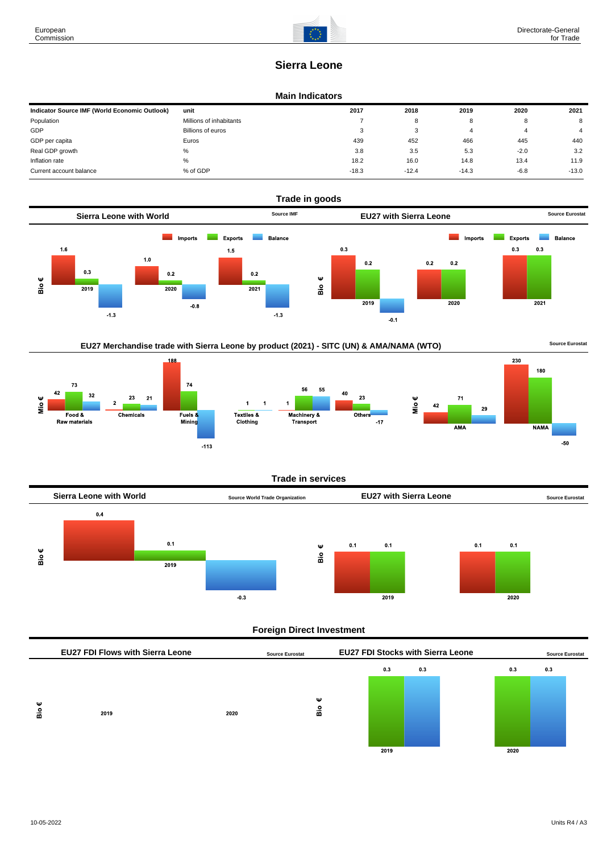180

**NAMA** 

 $-50$ 

# **Sierra Leone**

### **Main Indicators**

| Indicator Source IMF (World Economic Outlook) | unit                    | 2017    | 2018    | 2019    | 2020   | 2021    |
|-----------------------------------------------|-------------------------|---------|---------|---------|--------|---------|
| Population                                    | Millions of inhabitants |         | 8       |         | o      | 8       |
| GDP                                           | Billions of euros       | 3       | ົ<br>ຸ  |         | д      | 4       |
| GDP per capita                                | Euros                   | 439     | 452     | 466     | 445    | 440     |
| Real GDP growth                               | %                       | 3.8     | 3.5     | 5.3     | $-2.0$ | 3.2     |
| Inflation rate                                | $\%$                    | 18.2    | 16.0    | 14.8    | 13.4   | 11.9    |
| Current account balance                       | % of GDP                | $-18.3$ | $-12.4$ | $-14.3$ | $-6.8$ | $-13.0$ |



# EU27 Merchandise trade with Sierra Leone by product (2021) - SITC (UN) & AMA/NAMA (WTO) **Source Eurostat**





#### **Trade in services**



#### **Foreign Direct Investment**

|        | <b>EU27 FDI Flows with Sierra Leone</b> |      | <b>Source Eurostat</b> | <b>EU27 FDI Stocks with Sierra Leone</b> |     |      | <b>Source Eurostat</b> |  |
|--------|-----------------------------------------|------|------------------------|------------------------------------------|-----|------|------------------------|--|
|        |                                         |      |                        | 0.3                                      | 0.3 | 0.3  | 0.3                    |  |
| Ψ<br>å | 2019                                    | 2020 | ₩<br>å                 | 2019                                     |     | 2020 |                        |  |